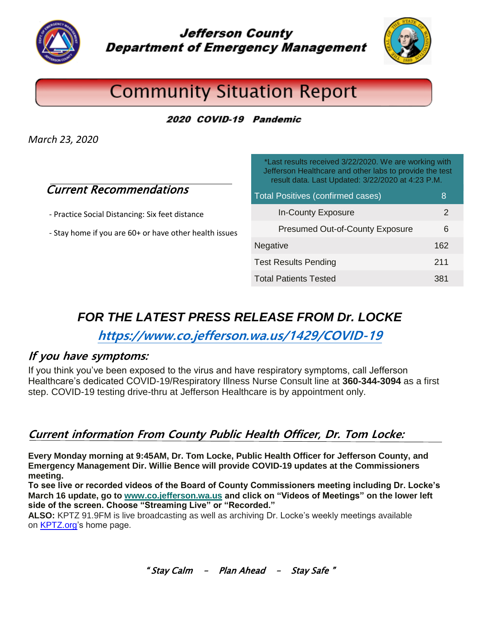

**Jefferson County Department of Emergency Management** 



# **Community Situation Report**

2020 COVID-19 Pandemic

*March 23, 2020*

### Current Recommendations

- Practice Social Distancing: Six feet distance

- Stay home if you are 60+ or have other health issues

\*Last results received 3/22/2020. We are working with Jefferson Healthcare and other labs to provide the test result data. Last Updated: 3/22/2020 at 4:23 P.M. Total Positives (confirmed cases) 8 In-County Exposure 2 Presumed Out-of-County Exposure 6 Negative 162 Test Results Pending 211 Total Patients Tested 381

## *FOR THE LATEST PRESS RELEASE FROM Dr. LOCKE*

**<https://www.co.jefferson.wa.us/1429/COVID-19>**

#### If **you have symptoms:**

If you think you've been exposed to the virus and have respiratory symptoms, call Jefferson Healthcare's dedicated COVID-19/Respiratory Illness Nurse Consult line at **360-344-3094** as a first step. COVID-19 testing drive-thru at Jefferson Healthcare is by appointment only.

### **Current information From County Public Health Officer, Dr. Tom Locke:**

**Every Monday morning at 9:45AM, Dr. Tom Locke, Public Health Officer for Jefferson County, and Emergency Management Dir. Willie Bence will provide COVID-19 updates at the Commissioners meeting.**

**To see live or recorded videos of the Board of County Commissioners meeting including Dr. Locke's March 16 update, go to [www.co.jefferson.wa.us](http://www.co.jefferson.wa.us/) and click on "Videos of Meetings" on the lower left side of the screen. Choose "Streaming Live" or "Recorded."**

**ALSO:** KPTZ 91.9FM is live broadcasting as well as archiving Dr. Locke's weekly meetings available on [KPTZ.org's](http://kptz.org/) home page.